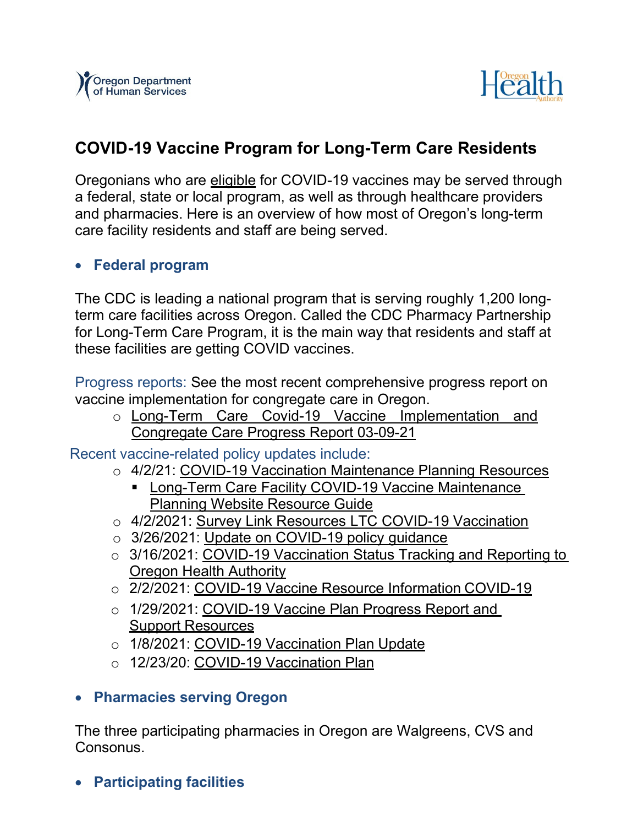



# **COVID-19 Vaccine Program for Long-Term Care Residents**

Oregonians who are [eligible](https://sharedsystems.dhsoha.state.or.us/DHSForms/Served/le3527A.pdf) for COVID-19 vaccines may be served through a federal, state or local program, as well as through healthcare providers and pharmacies. Here is an overview of how most of Oregon's long-term care facility residents and staff are being served.

#### • **Federal program**

The CDC is leading a national program that is serving roughly 1,200 longterm care facilities across Oregon. Called the CDC Pharmacy Partnership for Long-Term Care Program, it is the main way that residents and staff at these facilities are getting COVID vaccines.

Progress reports: See the most recent comprehensive [progress](https://dhsoha-my.sharepoint.com/personal/elisa_a_williams_dhsoha_state_or_us/Documents/Desktop/Will%20need%20ot%20add%20link%20here) report on vaccine implementation for congregate care in Oregon.

o [Long-Term Care Covid-19 Vaccine Implementation and](https://www.oregon.gov/dhs/COVID-19/Documents/VaccineProgressReport-20210309.pdf)  [Congregate Care Progress Report 03-09-21](https://www.oregon.gov/dhs/COVID-19/Documents/VaccineProgressReport-20210309.pdf)

Recent vaccine-related policy updates include:

- o 4/2/21: [COVID-19 Vaccination Maintenance Planning Resources](https://www.oregon.gov/dhs/PROVIDERS-PARTNERS/LICENSING/AdminAlerts/NF-21-015%20-%20Provider%20Alert%20-%20COVID-19%20Vaccination%20Maintenance%20Planning%20Resources.pdf)
	- **EXECTER CARE FACILITY COVID-19 Vaccine Maintenance** [Planning Website Resource Guide](https://www.oregon.gov/dhs/COVID-19/Documents/Long-Term%20Care%20Facility%20COVID-19%20Vaccine%20Maintenance%20Planning_Website%20Resource%20Guide.pdf)
- o 4/2/2021: [Survey Link Resources LTC COVID-19 Vaccination](https://www.oregon.gov/dhs/PROVIDERS-PARTNERS/LICENSING/AdminAlerts/NF-21-014%20-%20Survey%20Link%20Resources%20LTC%20COVID-19%20Vaccination.pdf)
- o 3/26/2021: [Update on COVID-19 policy guidance](https://www.oregon.gov/dhs/PROVIDERS-PARTNERS/LICENSING/AdminAlerts/Provider%20Alert%20-%20Update%20on%20COVID-19%20policy%20guidance.pdf)
- o 3/16/2021: [COVID-19 Vaccination Status Tracking and Reporting to](https://dhsoha-my.sharepoint.com/personal/elisa_a_williams_dhsoha_state_or_us/Documents/Desktop/%EF%83%BC%09https:/www.oregon.gov/dhs/PROVIDERS-PARTNERS/LICENSING/AdminAlerts/NF-21-012%20-%20Provider%20Alert%20-%20OHA%20Vaccination%20Status%20Tracking%20and%20Reporting.pdf) [Oregon Health Authority](https://dhsoha-my.sharepoint.com/personal/elisa_a_williams_dhsoha_state_or_us/Documents/Desktop/%EF%83%BC%09https:/www.oregon.gov/dhs/PROVIDERS-PARTNERS/LICENSING/AdminAlerts/NF-21-012%20-%20Provider%20Alert%20-%20OHA%20Vaccination%20Status%20Tracking%20and%20Reporting.pdf)
- o 2/2/2021: [COVID-19 Vaccine Resource Information](https://www.oregon.gov/dhs/PROVIDERS-PARTNERS/LICENSING/AdminAlerts/NF-21-005%20-%20Provider%20Alert%20-%20COVID-19%20Vaccine%20Resource%20Information.pdf) COVID-19
- o 1/29/2021: [COVID-19 Vaccine Plan Progress Report and](https://www.oregon.gov/dhs/PROVIDERS-PARTNERS/LICENSING/AdminAlerts/NF-21-004%20-%20Provider%20Alert%20-%20COVID-19%20Vaccination%20Plan%20Update.pdf) Support [Resources](https://www.oregon.gov/dhs/PROVIDERS-PARTNERS/LICENSING/AdminAlerts/NF-21-004%20-%20Provider%20Alert%20-%20COVID-19%20Vaccination%20Plan%20Update.pdf)
- o 1/8/2021: [COVID-19 Vaccination Plan](https://www.oregon.gov/dhs/PROVIDERS-PARTNERS/LICENSING/AdminAlerts/NF-21-001%20-%20Provider%20Alert%20-%20COVID-19%20Vaccination%20Plan%20Update.pdf) Update
- o 12/23/20: [COVID-19 Vaccination](https://www.oregon.gov/dhs/PROVIDERS-PARTNERS/LICENSING/AdminAlerts/NF-20-161%20-%20Provider%20Alert%20-%20COVID-19%20Vaccination%20Plan.pdf) Plan

#### • **Pharmacies serving Oregon**

The three participating pharmacies in Oregon are Walgreens, CVS and Consonus.

• **Participating facilities**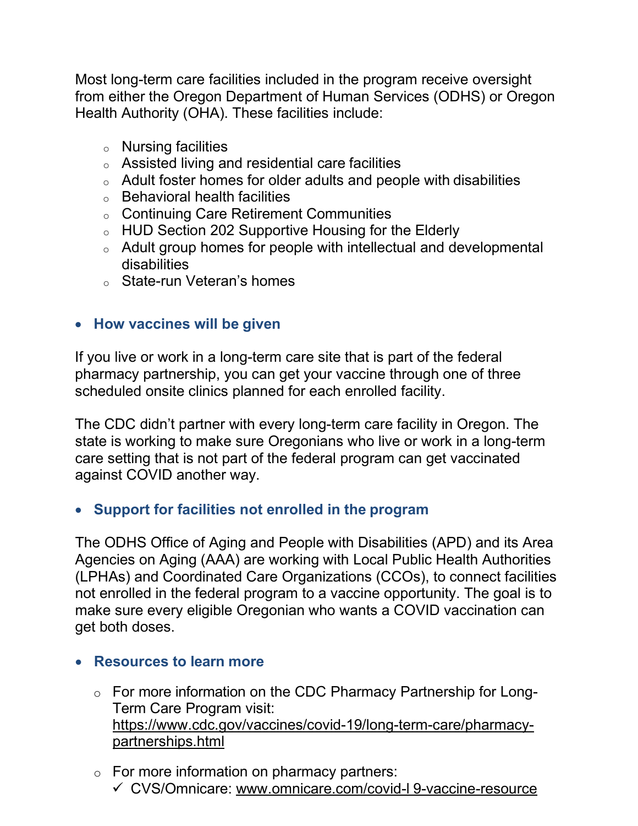Most long-term care facilities included in the program receive oversight from either the Oregon Department of Human Services (ODHS) or Oregon Health Authority (OHA). These facilities include:

- <sup>o</sup> Nursing facilities
- <sup>o</sup> Assisted living and residential care facilities
- <sup>o</sup> Adult foster homes for older adults and people with disabilities
- $\circ$  Behavioral health facilities
- <sup>o</sup> Continuing Care Retirement Communities
- <sup>o</sup> HUD Section 202 Supportive Housing for the Elderly
- <sup>o</sup> Adult group homes for people with intellectual and developmental disabilities
- <sup>o</sup> State-run Veteran's homes

### • **How vaccines will be given**

If you live or work in a long-term care site that is part of the federal pharmacy partnership, you can get your vaccine through one of three scheduled onsite clinics planned for each enrolled facility.

The CDC didn't partner with every long-term care facility in Oregon. The state is working to make sure Oregonians who live or work in a long-term care setting that is not part of the federal program can get vaccinated against COVID another way.

### • **Support for facilities not enrolled in the program**

The ODHS Office of Aging and People with Disabilities (APD) and its Area Agencies on Aging (AAA) are working with Local Public Health Authorities (LPHAs) and Coordinated Care Organizations (CCOs), to connect facilities not enrolled in the federal program to a vaccine opportunity. The goal is to make sure every eligible Oregonian who wants a COVID vaccination can get both doses.

### • **Resources to learn more**

- o For more information on the CDC Pharmacy Partnership for Long-Term Care Program visit: [https://www.cdc.gov/vaccines/covid-19/long-term-care/pharmacy](https://www.cdc.gov/vaccines/covid-19/long-term-care/pharmacy-partnerships.html)[partnerships.html](https://www.cdc.gov/vaccines/covid-19/long-term-care/pharmacy-partnerships.html)
- $\circ$  For more information on pharmacy partners: CVS/Omnicare: [www.omnicare.com/covid-l](http://www.omnicare.com/covid-l%209-vaccine-resource) 9-vaccine-resource